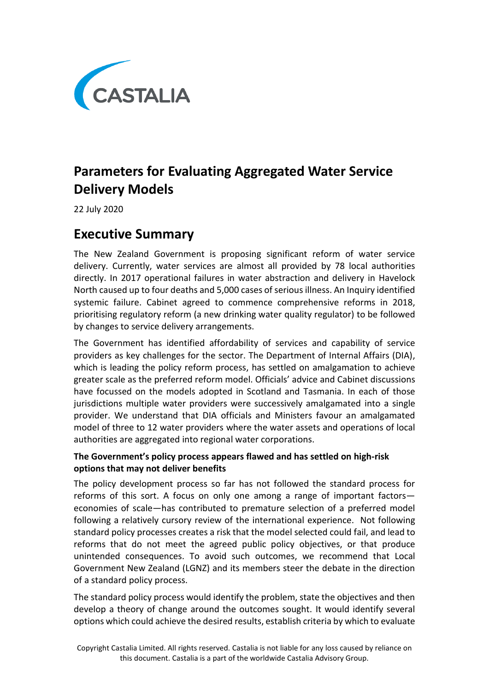

# **Parameters for Evaluating Aggregated Water Service Delivery Models**

22 July 2020

## **Executive Summary**

The New Zealand Government is proposing significant reform of water service delivery. Currently, water services are almost all provided by 78 local authorities directly. In 2017 operational failures in water abstraction and delivery in Havelock North caused up to four deaths and 5,000 cases of serious illness. An Inquiry identified systemic failure. Cabinet agreed to commence comprehensive reforms in 2018, prioritising regulatory reform (a new drinking water quality regulator) to be followed by changes to service delivery arrangements.

The Government has identified affordability of services and capability of service providers as key challenges for the sector. The Department of Internal Affairs (DIA), which is leading the policy reform process, has settled on amalgamation to achieve greater scale as the preferred reform model. Officials' advice and Cabinet discussions have focussed on the models adopted in Scotland and Tasmania. In each of those jurisdictions multiple water providers were successively amalgamated into a single provider. We understand that DIA officials and Ministers favour an amalgamated model of three to 12 water providers where the water assets and operations of local authorities are aggregated into regional water corporations.

## **The Government's policy process appears flawed and has settled on high-risk options that may not deliver benefits**

The policy development process so far has not followed the standard process for reforms of this sort. A focus on only one among a range of important factors economies of scale—has contributed to premature selection of a preferred model following a relatively cursory review of the international experience. Not following standard policy processes creates a risk that the model selected could fail, and lead to reforms that do not meet the agreed public policy objectives, or that produce unintended consequences. To avoid such outcomes, we recommend that Local Government New Zealand (LGNZ) and its members steer the debate in the direction of a standard policy process.

The standard policy process would identify the problem, state the objectives and then develop a theory of change around the outcomes sought. It would identify several options which could achieve the desired results, establish criteria by which to evaluate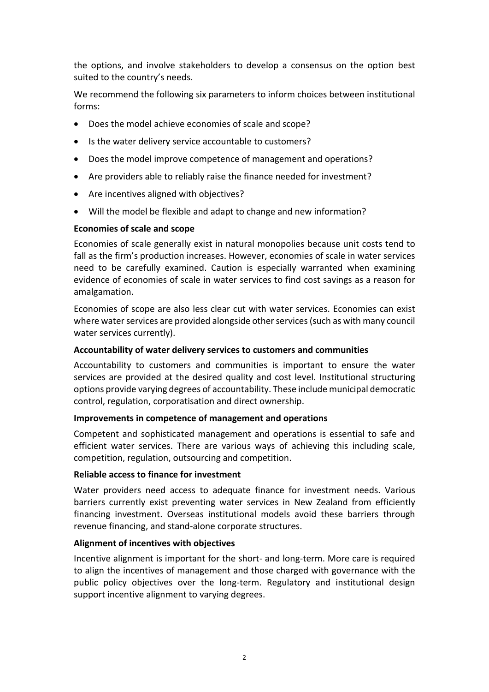the options, and involve stakeholders to develop a consensus on the option best suited to the country's needs.

We recommend the following six parameters to inform choices between institutional forms:

- Does the model achieve economies of scale and scope?
- Is the water delivery service accountable to customers?
- Does the model improve competence of management and operations?
- Are providers able to reliably raise the finance needed for investment?
- Are incentives aligned with objectives?
- Will the model be flexible and adapt to change and new information?

## **Economies of scale and scope**

Economies of scale generally exist in natural monopolies because unit costs tend to fall as the firm's production increases. However, economies of scale in water services need to be carefully examined. Caution is especially warranted when examining evidence of economies of scale in water services to find cost savings as a reason for amalgamation.

Economies of scope are also less clear cut with water services. Economies can exist where water services are provided alongside other services (such as with many council water services currently).

## **Accountability of water delivery services to customers and communities**

Accountability to customers and communities is important to ensure the water services are provided at the desired quality and cost level. Institutional structuring options provide varying degrees of accountability. These include municipal democratic control, regulation, corporatisation and direct ownership.

## **Improvements in competence of management and operations**

Competent and sophisticated management and operations is essential to safe and efficient water services. There are various ways of achieving this including scale, competition, regulation, outsourcing and competition.

## **Reliable access to finance for investment**

Water providers need access to adequate finance for investment needs. Various barriers currently exist preventing water services in New Zealand from efficiently financing investment. Overseas institutional models avoid these barriers through revenue financing, and stand-alone corporate structures.

## **Alignment of incentives with objectives**

Incentive alignment is important for the short- and long-term. More care is required to align the incentives of management and those charged with governance with the public policy objectives over the long-term. Regulatory and institutional design support incentive alignment to varying degrees.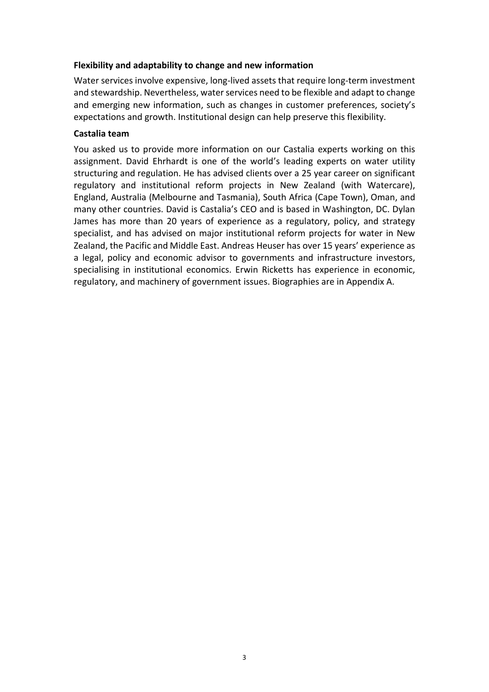### **Flexibility and adaptability to change and new information**

Water services involve expensive, long-lived assets that require long-term investment and stewardship. Nevertheless, water services need to be flexible and adapt to change and emerging new information, such as changes in customer preferences, society's expectations and growth. Institutional design can help preserve this flexibility.

#### **Castalia team**

You asked us to provide more information on our Castalia experts working on this assignment. David Ehrhardt is one of the world's leading experts on water utility structuring and regulation. He has advised clients over a 25 year career on significant regulatory and institutional reform projects in New Zealand (with Watercare), England, Australia (Melbourne and Tasmania), South Africa (Cape Town), Oman, and many other countries. David is Castalia's CEO and is based in Washington, DC. Dylan James has more than 20 years of experience as a regulatory, policy, and strategy specialist, and has advised on major institutional reform projects for water in New Zealand, the Pacific and Middle East. Andreas Heuser has over 15 years' experience as a legal, policy and economic advisor to governments and infrastructure investors, specialising in institutional economics. Erwin Ricketts has experience in economic, regulatory, and machinery of government issues. Biographies are in Appendix A.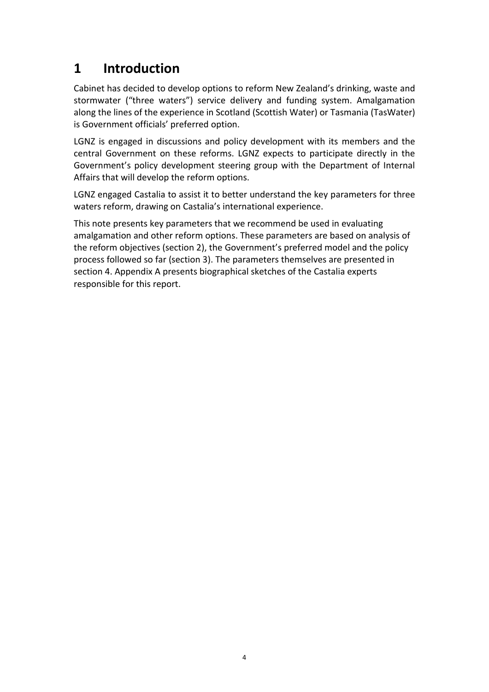## **1 Introduction**

Cabinet has decided to develop options to reform New Zealand's drinking, waste and stormwater ("three waters") service delivery and funding system. Amalgamation along the lines of the experience in Scotland (Scottish Water) or Tasmania (TasWater) is Government officials' preferred option.

LGNZ is engaged in discussions and policy development with its members and the central Government on these reforms. LGNZ expects to participate directly in the Government's policy development steering group with the Department of Internal Affairs that will develop the reform options.

LGNZ engaged Castalia to assist it to better understand the key parameters for three waters reform, drawing on Castalia's international experience.

This note presents key parameters that we recommend be used in evaluating amalgamation and other reform options. These parameters are based on analysis of the reform objectives (section 2), the Government's preferred model and the policy process followed so far (section 3). The parameters themselves are presented in section 4. Appendix A presents biographical sketches of the Castalia experts responsible for this report.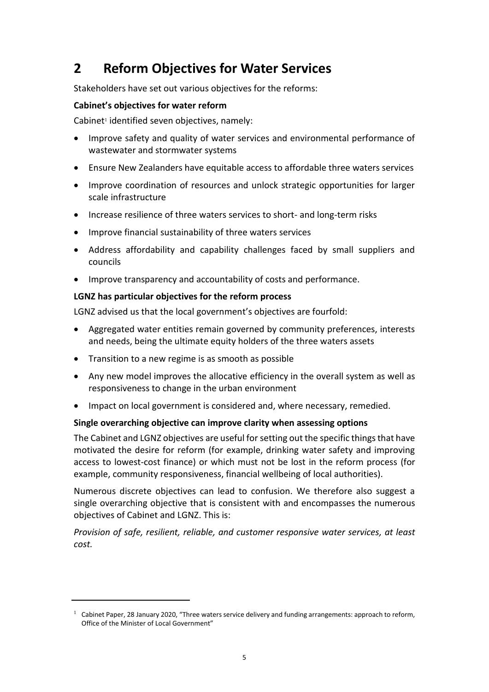## **2 Reform Objectives for Water Services**

Stakeholders have set out various objectives for the reforms:

## **Cabinet's objectives for water reform**

Cabinet<sup>1</sup> identified seven objectives, namely:

- Improve safety and quality of water services and environmental performance of wastewater and stormwater systems
- Ensure New Zealanders have equitable access to affordable three waters services
- Improve coordination of resources and unlock strategic opportunities for larger scale infrastructure
- Increase resilience of three waters services to short- and long-term risks
- Improve financial sustainability of three waters services
- Address affordability and capability challenges faced by small suppliers and councils
- Improve transparency and accountability of costs and performance.

## **LGNZ has particular objectives for the reform process**

LGNZ advised us that the local government's objectives are fourfold:

- Aggregated water entities remain governed by community preferences, interests and needs, being the ultimate equity holders of the three waters assets
- Transition to a new regime is as smooth as possible
- Any new model improves the allocative efficiency in the overall system as well as responsiveness to change in the urban environment
- Impact on local government is considered and, where necessary, remedied.

## **Single overarching objective can improve clarity when assessing options**

The Cabinet and LGNZ objectives are useful for setting out the specific things that have motivated the desire for reform (for example, drinking water safety and improving access to lowest-cost finance) or which must not be lost in the reform process (for example, community responsiveness, financial wellbeing of local authorities).

Numerous discrete objectives can lead to confusion. We therefore also suggest a single overarching objective that is consistent with and encompasses the numerous objectives of Cabinet and LGNZ. This is:

*Provision of safe, resilient, reliable, and customer responsive water services, at least cost.*

 $1$  Cabinet Paper, 28 January 2020, "Three waters service delivery and funding arrangements: approach to reform, Office of the Minister of Local Government"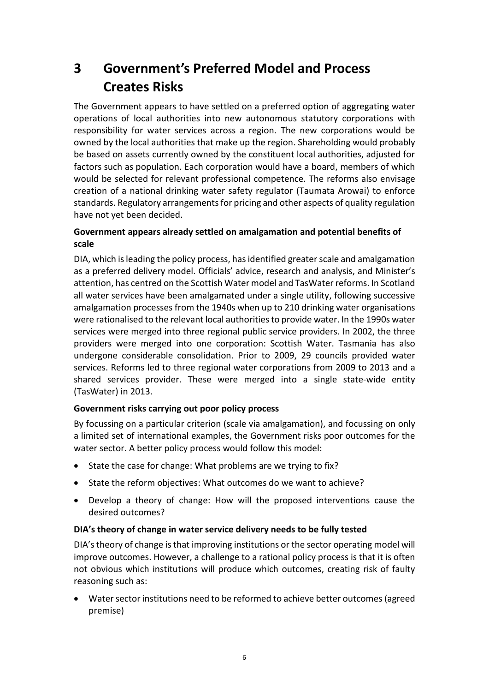# **3 Government's Preferred Model and Process Creates Risks**

The Government appears to have settled on a preferred option of aggregating water operations of local authorities into new autonomous statutory corporations with responsibility for water services across a region. The new corporations would be owned by the local authorities that make up the region. Shareholding would probably be based on assets currently owned by the constituent local authorities, adjusted for factors such as population. Each corporation would have a board, members of which would be selected for relevant professional competence. The reforms also envisage creation of a national drinking water safety regulator (Taumata Arowai) to enforce standards. Regulatory arrangements for pricing and other aspects of quality regulation have not yet been decided.

## **Government appears already settled on amalgamation and potential benefits of scale**

DIA, which is leading the policy process, has identified greater scale and amalgamation as a preferred delivery model. Officials' advice, research and analysis, and Minister's attention, has centred on the Scottish Water model and TasWater reforms. In Scotland all water services have been amalgamated under a single utility, following successive amalgamation processes from the 1940s when up to 210 drinking water organisations were rationalised to the relevant local authorities to provide water. In the 1990s water services were merged into three regional public service providers. In 2002, the three providers were merged into one corporation: Scottish Water. Tasmania has also undergone considerable consolidation. Prior to 2009, 29 councils provided water services. Reforms led to three regional water corporations from 2009 to 2013 and a shared services provider. These were merged into a single state-wide entity (TasWater) in 2013.

## **Government risks carrying out poor policy process**

By focussing on a particular criterion (scale via amalgamation), and focussing on only a limited set of international examples, the Government risks poor outcomes for the water sector. A better policy process would follow this model:

- State the case for change: What problems are we trying to fix?
- State the reform objectives: What outcomes do we want to achieve?
- Develop a theory of change: How will the proposed interventions cause the desired outcomes?

## **DIA's theory of change in water service delivery needs to be fully tested**

DIA'stheory of change is that improving institutions or the sector operating model will improve outcomes. However, a challenge to a rational policy process is that it is often not obvious which institutions will produce which outcomes, creating risk of faulty reasoning such as:

• Water sector institutions need to be reformed to achieve better outcomes (agreed premise)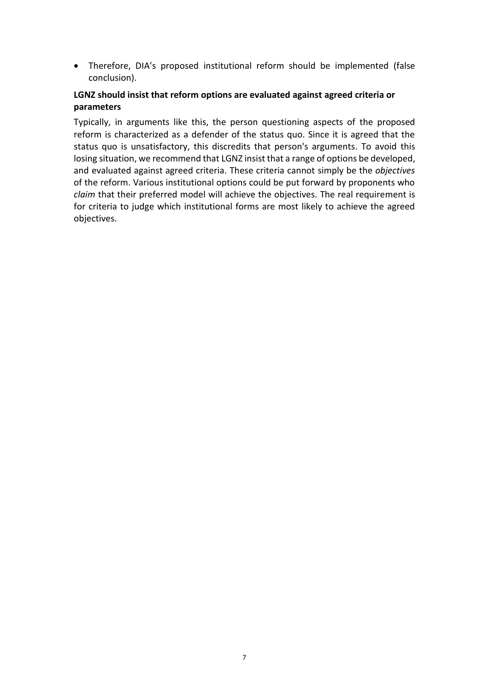• Therefore, DIA's proposed institutional reform should be implemented (false conclusion).

## **LGNZ should insist that reform options are evaluated against agreed criteria or parameters**

Typically, in arguments like this, the person questioning aspects of the proposed reform is characterized as a defender of the status quo. Since it is agreed that the status quo is unsatisfactory, this discredits that person's arguments. To avoid this losing situation, we recommend that LGNZ insist that a range of options be developed, and evaluated against agreed criteria. These criteria cannot simply be the *objectives* of the reform. Various institutional options could be put forward by proponents who *claim* that their preferred model will achieve the objectives. The real requirement is for criteria to judge which institutional forms are most likely to achieve the agreed objectives.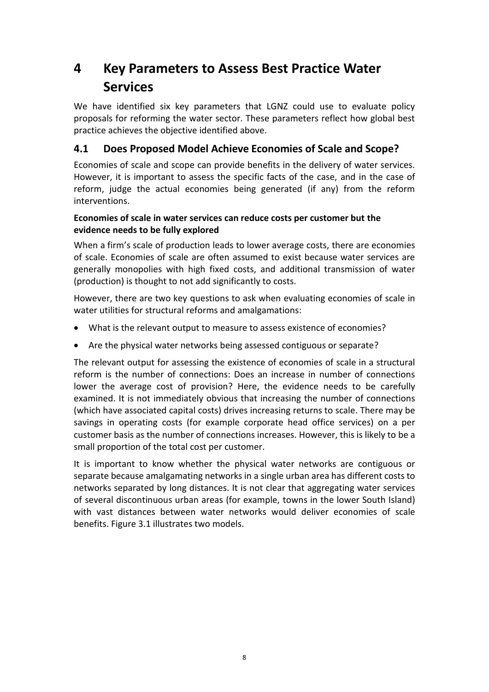# **4 Key Parameters to Assess Best Practice Water Services**

We have identified six key parameters that LGNZ could use to evaluate policy proposals for reforming the water sector. These parameters reflect how global best practice achieves the objective identified above.

## **4.1 Does Proposed Model Achieve Economies of Scale and Scope?**

Economies of scale and scope can provide benefits in the delivery of water services. However, it is important to assess the specific facts of the case, and in the case of reform, judge the actual economies being generated (if any) from the reform interventions.

## **Economies of scale in water services can reduce costs per customer but the evidence needs to be fully explored**

When a firm's scale of production leads to lower average costs, there are economies of scale. Economies of scale are often assumed to exist because water services are generally monopolies with high fixed costs, and additional transmission of water (production) is thought to not add significantly to costs.

However, there are two key questions to ask when evaluating economies of scale in water utilities for structural reforms and amalgamations:

- What is the relevant output to measure to assess existence of economies?
- Are the physical water networks being assessed contiguous or separate?

The relevant output for assessing the existence of economies of scale in a structural reform is the number of connections: Does an increase in number of connections lower the average cost of provision? Here, the evidence needs to be carefully examined. It is not immediately obvious that increasing the number of connections (which have associated capital costs) drives increasing returns to scale. There may be savings in operating costs (for example corporate head office services) on a per customer basis as the number of connections increases. However, this is likely to be a small proportion of the total cost per customer.

It is important to know whether the physical water networks are contiguous or separate because amalgamating networks in a single urban area has different costs to networks separated by long distances. It is not clear that aggregating water services of several discontinuous urban areas (for example, towns in the lower South Island) with vast distances between water networks would deliver economies of scale benefits. Figure 3.1 illustrates two models.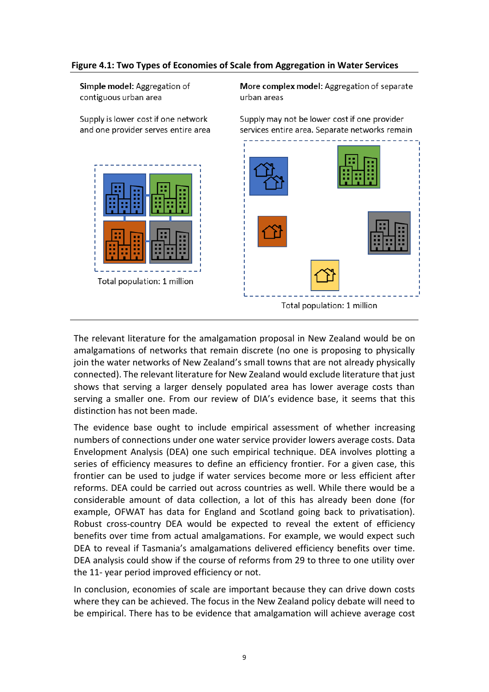## **Figure 4.1: Two Types of Economies of Scale from Aggregation in Water Services**

Simple model: Aggregation of contiguous urban area

Supply is lower cost if one network and one provider serves entire area



More complex model: Aggregation of separate urban areas

Supply may not be lower cost if one provider services entire area. Separate networks remain



The relevant literature for the amalgamation proposal in New Zealand would be on amalgamations of networks that remain discrete (no one is proposing to physically join the water networks of New Zealand's small towns that are not already physically connected). The relevant literature for New Zealand would exclude literature that just shows that serving a larger densely populated area has lower average costs than serving a smaller one. From our review of DIA's evidence base, it seems that this distinction has not been made.

The evidence base ought to include empirical assessment of whether increasing numbers of connections under one water service provider lowers average costs. Data Envelopment Analysis (DEA) one such empirical technique. DEA involves plotting a series of efficiency measures to define an efficiency frontier. For a given case, this frontier can be used to judge if water services become more or less efficient after reforms. DEA could be carried out across countries as well. While there would be a considerable amount of data collection, a lot of this has already been done (for example, OFWAT has data for England and Scotland going back to privatisation). Robust cross-country DEA would be expected to reveal the extent of efficiency benefits over time from actual amalgamations. For example, we would expect such DEA to reveal if Tasmania's amalgamations delivered efficiency benefits over time. DEA analysis could show if the course of reforms from 29 to three to one utility over the 11- year period improved efficiency or not.

In conclusion, economies of scale are important because they can drive down costs where they can be achieved. The focus in the New Zealand policy debate will need to be empirical. There has to be evidence that amalgamation will achieve average cost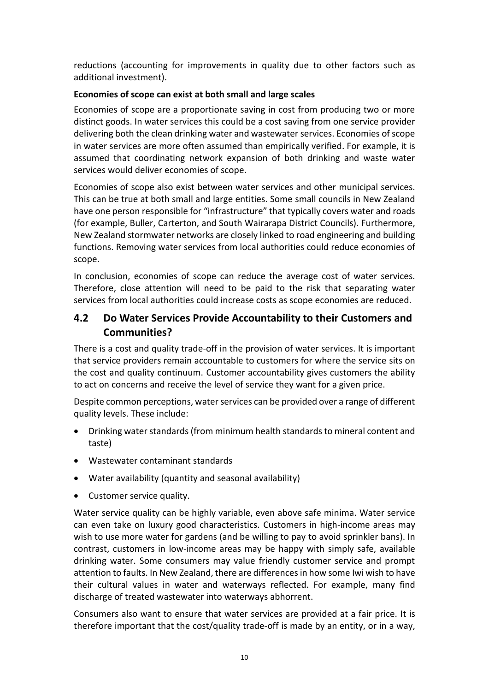reductions (accounting for improvements in quality due to other factors such as additional investment).

## **Economies of scope can exist at both small and large scales**

Economies of scope are a proportionate saving in cost from producing two or more distinct goods. In water services this could be a cost saving from one service provider delivering both the clean drinking water and wastewater services. Economies of scope in water services are more often assumed than empirically verified. For example, it is assumed that coordinating network expansion of both drinking and waste water services would deliver economies of scope.

Economies of scope also exist between water services and other municipal services. This can be true at both small and large entities. Some small councils in New Zealand have one person responsible for "infrastructure" that typically covers water and roads (for example, Buller, Carterton, and South Wairarapa District Councils). Furthermore, New Zealand stormwater networks are closely linked to road engineering and building functions. Removing water services from local authorities could reduce economies of scope.

In conclusion, economies of scope can reduce the average cost of water services. Therefore, close attention will need to be paid to the risk that separating water services from local authorities could increase costs as scope economies are reduced.

## **4.2 Do Water Services Provide Accountability to their Customers and Communities?**

There is a cost and quality trade-off in the provision of water services. It is important that service providers remain accountable to customers for where the service sits on the cost and quality continuum. Customer accountability gives customers the ability to act on concerns and receive the level of service they want for a given price.

Despite common perceptions, water services can be provided over a range of different quality levels. These include:

- Drinking water standards(from minimum health standards to mineral content and taste)
- Wastewater contaminant standards
- Water availability (quantity and seasonal availability)
- Customer service quality.

Water service quality can be highly variable, even above safe minima. Water service can even take on luxury good characteristics. Customers in high-income areas may wish to use more water for gardens (and be willing to pay to avoid sprinkler bans). In contrast, customers in low-income areas may be happy with simply safe, available drinking water. Some consumers may value friendly customer service and prompt attention to faults. In New Zealand, there are differences in how some Iwi wish to have their cultural values in water and waterways reflected. For example, many find discharge of treated wastewater into waterways abhorrent.

Consumers also want to ensure that water services are provided at a fair price. It is therefore important that the cost/quality trade-off is made by an entity, or in a way,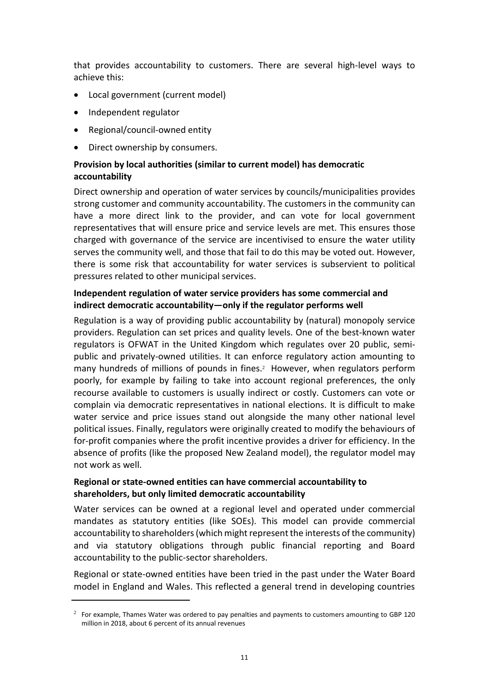that provides accountability to customers. There are several high-level ways to achieve this:

- Local government (current model)
- Independent regulator
- Regional/council-owned entity
- Direct ownership by consumers.

## **Provision by local authorities (similar to current model) has democratic accountability**

Direct ownership and operation of water services by councils/municipalities provides strong customer and community accountability. The customers in the community can have a more direct link to the provider, and can vote for local government representatives that will ensure price and service levels are met. This ensures those charged with governance of the service are incentivised to ensure the water utility serves the community well, and those that fail to do this may be voted out. However, there is some risk that accountability for water services is subservient to political pressures related to other municipal services.

## **Independent regulation of water service providers has some commercial and indirect democratic accountability—only if the regulator performs well**

Regulation is a way of providing public accountability by (natural) monopoly service providers. Regulation can set prices and quality levels. One of the best-known water regulators is OFWAT in the United Kingdom which regulates over 20 public, semipublic and privately-owned utilities. It can enforce regulatory action amounting to many hundreds of millions of pounds in fines. <sup>2</sup> However, when regulators perform poorly, for example by failing to take into account regional preferences, the only recourse available to customers is usually indirect or costly. Customers can vote or complain via democratic representatives in national elections. It is difficult to make water service and price issues stand out alongside the many other national level political issues. Finally, regulators were originally created to modify the behaviours of for-profit companies where the profit incentive provides a driver for efficiency. In the absence of profits (like the proposed New Zealand model), the regulator model may not work as well.

## **Regional or state-owned entities can have commercial accountability to shareholders, but only limited democratic accountability**

Water services can be owned at a regional level and operated under commercial mandates as statutory entities (like SOEs). This model can provide commercial accountability to shareholders (which might represent the interests of the community) and via statutory obligations through public financial reporting and Board accountability to the public-sector shareholders.

Regional or state-owned entities have been tried in the past under the Water Board model in England and Wales. This reflected a general trend in developing countries

 $2$  For example, Thames Water was ordered to pay penalties and payments to customers amounting to GBP 120 million in 2018, about 6 percent of its annual revenues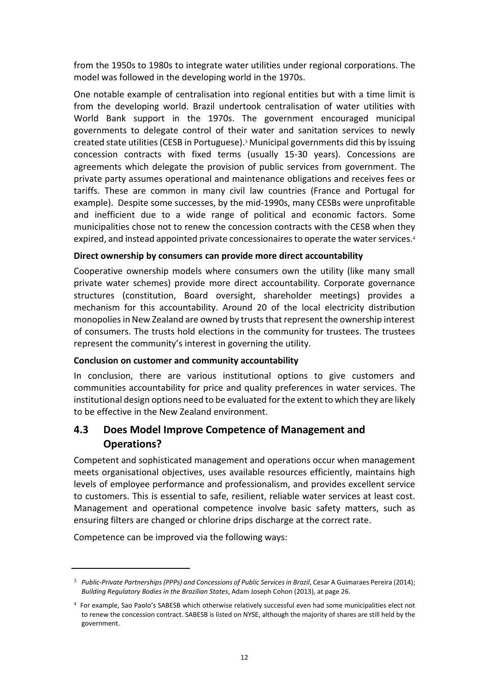from the 1950s to 1980s to integrate water utilities under regional corporations. The model was followed in the developing world in the 1970s.

One notable example of centralisation into regional entities but with a time limit is from the developing world. Brazil undertook centralisation of water utilities with World Bank support in the 1970s. The government encouraged municipal governments to delegate control of their water and sanitation services to newly created state utilities (CESB in Portuguese).<sup>3</sup> Municipal governments did this by issuing concession contracts with fixed terms (usually 15-30 years). Concessions are agreements which delegate the provision of public services from government. The private party assumes operational and maintenance obligations and receives fees or tariffs. These are common in many civil law countries (France and Portugal for example). Despite some successes, by the mid-1990s, many CESBs were unprofitable and inefficient due to a wide range of political and economic factors. Some municipalities chose not to renew the concession contracts with the CESB when they expired, and instead appointed private concessionaires to operate the water services.<sup>4</sup>

## **Direct ownership by consumers can provide more direct accountability**

Cooperative ownership models where consumers own the utility (like many small private water schemes) provide more direct accountability. Corporate governance structures (constitution, Board oversight, shareholder meetings) provides a mechanism for this accountability. Around 20 of the local electricity distribution monopolies in New Zealand are owned by trusts that represent the ownership interest of consumers. The trusts hold elections in the community for trustees. The trustees represent the community's interest in governing the utility.

## **Conclusion on customer and community accountability**

In conclusion, there are various institutional options to give customers and communities accountability for price and quality preferences in water services. The institutional design options need to be evaluated for the extent to which they are likely to be effective in the New Zealand environment.

## **4.3 Does Model Improve Competence of Management and Operations?**

Competent and sophisticated management and operations occur when management meets organisational objectives, uses available resources efficiently, maintains high levels of employee performance and professionalism, and provides excellent service to customers. This is essential to safe, resilient, reliable water services at least cost. Management and operational competence involve basic safety matters, such as ensuring filters are changed or chlorine drips discharge at the correct rate.

Competence can be improved via the following ways:

<sup>3</sup> *Public-Private Partnerships (PPPs) and Concessions of Public Services in Brazil*, Cesar A Guimaraes Pereira (2014); *Building Regulatory Bodies in the Brazilian States*, Adam Joseph Cohon (2013), at page 26.

<sup>4</sup> For example, Sao Paolo's SABESB which otherwise relatively successful even had some municipalities elect not to renew the concession contract. SABESB is listed on NYSE, although the majority of shares are still held by the government.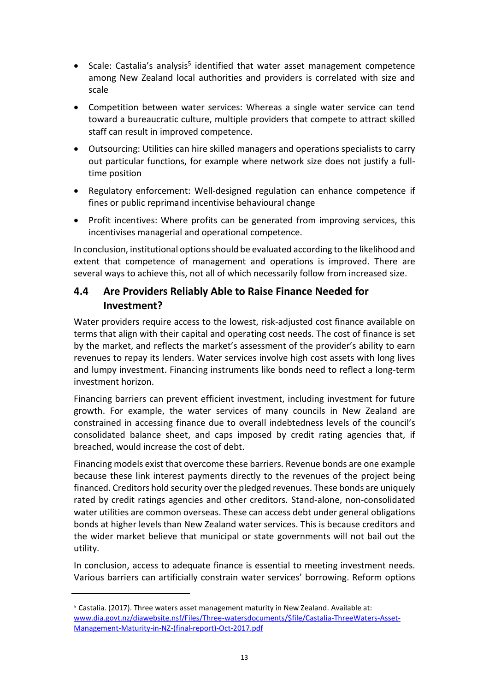- Scale: Castalia's analysis<sup>5</sup> identified that water asset management competence among New Zealand local authorities and providers is correlated with size and scale
- Competition between water services: Whereas a single water service can tend toward a bureaucratic culture, multiple providers that compete to attract skilled staff can result in improved competence.
- Outsourcing: Utilities can hire skilled managers and operations specialists to carry out particular functions, for example where network size does not justify a fulltime position
- Regulatory enforcement: Well-designed regulation can enhance competence if fines or public reprimand incentivise behavioural change
- Profit incentives: Where profits can be generated from improving services, this incentivises managerial and operational competence.

In conclusion, institutional options should be evaluated according to the likelihood and extent that competence of management and operations is improved. There are several ways to achieve this, not all of which necessarily follow from increased size.

## **4.4 Are Providers Reliably Able to Raise Finance Needed for Investment?**

Water providers require access to the lowest, risk-adjusted cost finance available on terms that align with their capital and operating cost needs. The cost of finance is set by the market, and reflects the market's assessment of the provider's ability to earn revenues to repay its lenders. Water services involve high cost assets with long lives and lumpy investment. Financing instruments like bonds need to reflect a long-term investment horizon.

Financing barriers can prevent efficient investment, including investment for future growth. For example, the water services of many councils in New Zealand are constrained in accessing finance due to overall indebtedness levels of the council's consolidated balance sheet, and caps imposed by credit rating agencies that, if breached, would increase the cost of debt.

Financing models exist that overcome these barriers. Revenue bonds are one example because these link interest payments directly to the revenues of the project being financed. Creditors hold security over the pledged revenues. These bonds are uniquely rated by credit ratings agencies and other creditors. Stand-alone, non-consolidated water utilities are common overseas. These can access debt under general obligations bonds at higher levels than New Zealand water services. This is because creditors and the wider market believe that municipal or state governments will not bail out the utility.

In conclusion, access to adequate finance is essential to meeting investment needs. Various barriers can artificially constrain water services' borrowing. Reform options

 $5$  Castalia. (2017). Three waters asset management maturity in New Zealand. Available at: [www.dia.govt.nz/diawebsite.nsf/Files/Three-watersdocuments/\\$file/Castalia-ThreeWaters-Asset-](http://www.dia.govt.nz/diawebsite.nsf/Files/Three-watersdocuments/$file/Castalia-ThreeWaters-Asset-Management-Maturity-in-NZ-(final-report)-Oct-2017.pdf)[Management-Maturity-in-NZ-\(final-report\)-Oct-2017.pdf](http://www.dia.govt.nz/diawebsite.nsf/Files/Three-watersdocuments/$file/Castalia-ThreeWaters-Asset-Management-Maturity-in-NZ-(final-report)-Oct-2017.pdf)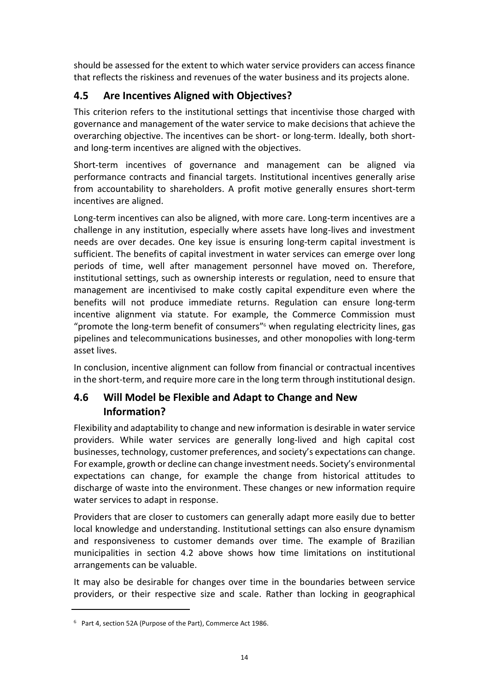should be assessed for the extent to which water service providers can access finance that reflects the riskiness and revenues of the water business and its projects alone.

## **4.5 Are Incentives Aligned with Objectives?**

This criterion refers to the institutional settings that incentivise those charged with governance and management of the water service to make decisions that achieve the overarching objective. The incentives can be short- or long-term. Ideally, both shortand long-term incentives are aligned with the objectives.

Short-term incentives of governance and management can be aligned via performance contracts and financial targets. Institutional incentives generally arise from accountability to shareholders. A profit motive generally ensures short-term incentives are aligned.

Long-term incentives can also be aligned, with more care. Long-term incentives are a challenge in any institution, especially where assets have long-lives and investment needs are over decades. One key issue is ensuring long-term capital investment is sufficient. The benefits of capital investment in water services can emerge over long periods of time, well after management personnel have moved on. Therefore, institutional settings, such as ownership interests or regulation, need to ensure that management are incentivised to make costly capital expenditure even where the benefits will not produce immediate returns. Regulation can ensure long-term incentive alignment via statute. For example, the Commerce Commission must "promote the long-term benefit of consumers" <sup>6</sup> when regulating electricity lines, gas pipelines and telecommunications businesses, and other monopolies with long-term asset lives.

In conclusion, incentive alignment can follow from financial or contractual incentives in the short-term, and require more care in the long term through institutional design.

## **4.6 Will Model be Flexible and Adapt to Change and New Information?**

Flexibility and adaptability to change and new information is desirable in water service providers. While water services are generally long-lived and high capital cost businesses, technology, customer preferences, and society's expectations can change. For example, growth or decline can change investment needs. Society's environmental expectations can change, for example the change from historical attitudes to discharge of waste into the environment. These changes or new information require water services to adapt in response.

Providers that are closer to customers can generally adapt more easily due to better local knowledge and understanding. Institutional settings can also ensure dynamism and responsiveness to customer demands over time. The example of Brazilian municipalities in section 4.2 above shows how time limitations on institutional arrangements can be valuable.

It may also be desirable for changes over time in the boundaries between service providers, or their respective size and scale. Rather than locking in geographical

<sup>6</sup> Part 4, section 52A (Purpose of the Part), Commerce Act 1986.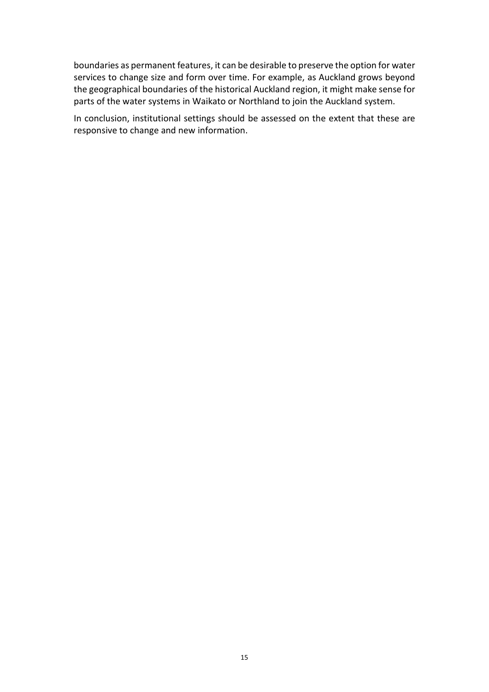boundaries as permanent features, it can be desirable to preserve the option for water services to change size and form over time. For example, as Auckland grows beyond the geographical boundaries of the historical Auckland region, it might make sense for parts of the water systems in Waikato or Northland to join the Auckland system.

In conclusion, institutional settings should be assessed on the extent that these are responsive to change and new information.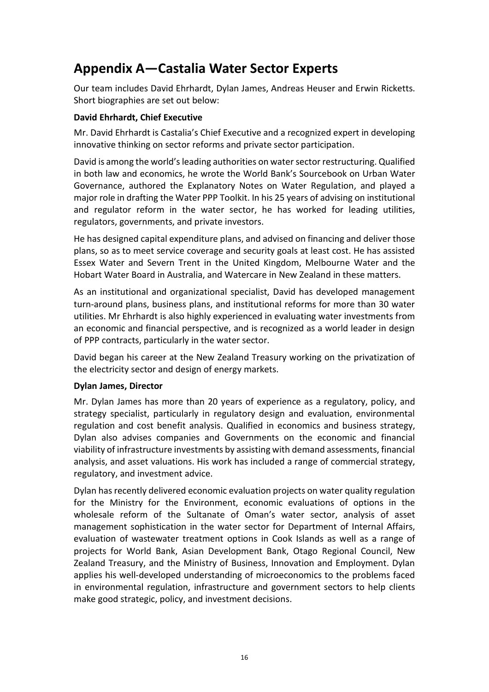## **Appendix A—Castalia Water Sector Experts**

Our team includes David Ehrhardt, Dylan James, Andreas Heuser and Erwin Ricketts. Short biographies are set out below:

## **David Ehrhardt, Chief Executive**

Mr. David Ehrhardt is Castalia's Chief Executive and a recognized expert in developing innovative thinking on sector reforms and private sector participation.

David is among the world's leading authorities on water sector restructuring. Qualified in both law and economics, he wrote the World Bank's Sourcebook on Urban Water Governance, authored the Explanatory Notes on Water Regulation, and played a major role in drafting the Water PPP Toolkit. In his 25 years of advising on institutional and regulator reform in the water sector, he has worked for leading utilities, regulators, governments, and private investors.

He has designed capital expenditure plans, and advised on financing and deliver those plans, so as to meet service coverage and security goals at least cost. He has assisted Essex Water and Severn Trent in the United Kingdom, Melbourne Water and the Hobart Water Board in Australia, and Watercare in New Zealand in these matters.

As an institutional and organizational specialist, David has developed management turn-around plans, business plans, and institutional reforms for more than 30 water utilities. Mr Ehrhardt is also highly experienced in evaluating water investments from an economic and financial perspective, and is recognized as a world leader in design of PPP contracts, particularly in the water sector.

David began his career at the New Zealand Treasury working on the privatization of the electricity sector and design of energy markets.

## **Dylan James, Director**

Mr. Dylan James has more than 20 years of experience as a regulatory, policy, and strategy specialist, particularly in regulatory design and evaluation, environmental regulation and cost benefit analysis. Qualified in economics and business strategy, Dylan also advises companies and Governments on the economic and financial viability of infrastructure investments by assisting with demand assessments, financial analysis, and asset valuations. His work has included a range of commercial strategy, regulatory, and investment advice.

Dylan has recently delivered economic evaluation projects on water quality regulation for the Ministry for the Environment, economic evaluations of options in the wholesale reform of the Sultanate of Oman's water sector, analysis of asset management sophistication in the water sector for Department of Internal Affairs, evaluation of wastewater treatment options in Cook Islands as well as a range of projects for World Bank, Asian Development Bank, Otago Regional Council, New Zealand Treasury, and the Ministry of Business, Innovation and Employment. Dylan applies his well-developed understanding of microeconomics to the problems faced in environmental regulation, infrastructure and government sectors to help clients make good strategic, policy, and investment decisions.